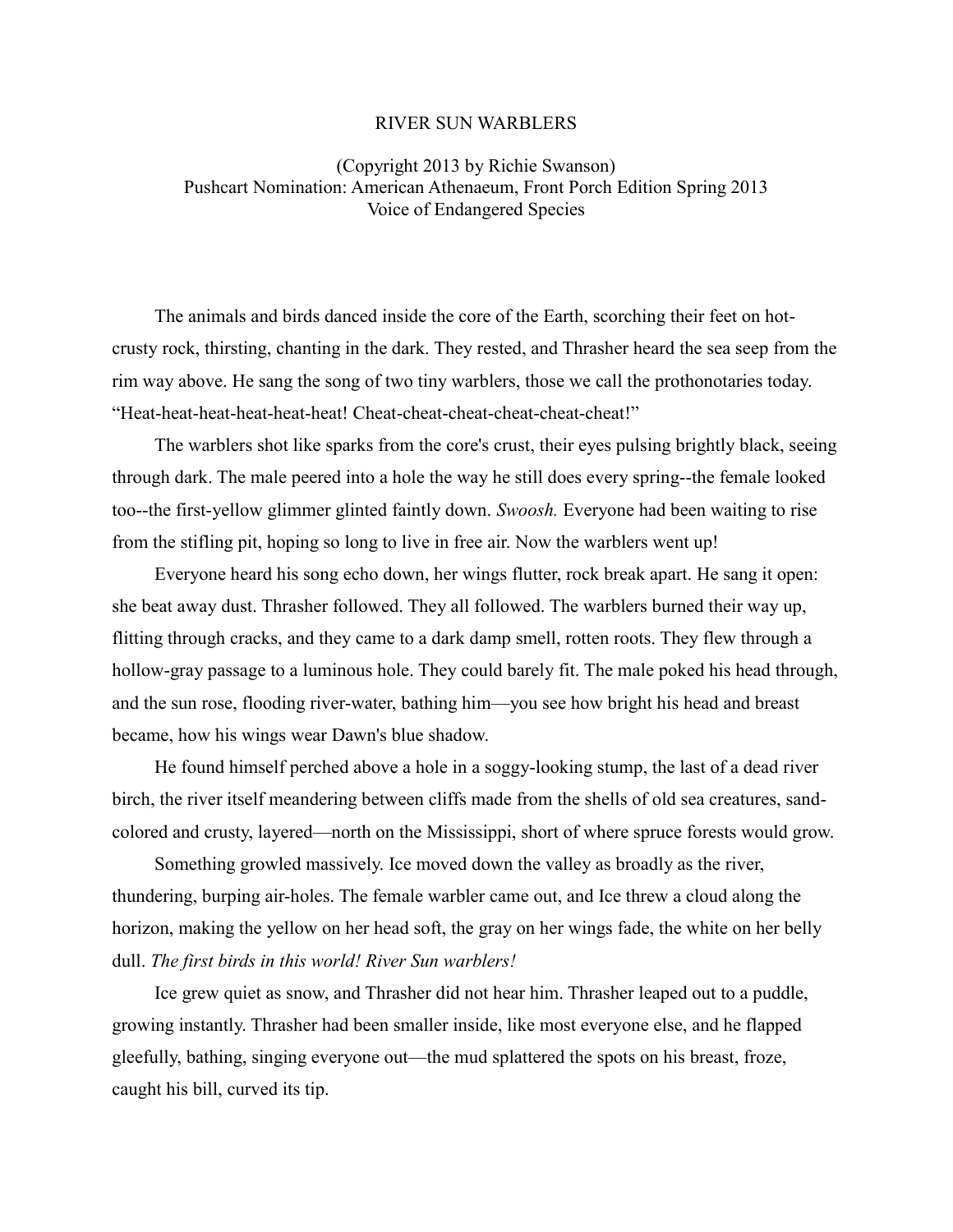## RIVER SUN WARBLERS

## (Copyright 2013 by Richie Swanson) Pushcart Nomination: American Athenaeum, Front Porch Edition Spring 2013 Voice of Endangered Species

The animals and birds danced inside the core of the Earth, scorching their feet on hotcrusty rock, thirsting, chanting in the dark. They rested, and Thrasher heard the sea seep from the rim way above. He sang the song of two tiny warblers, those we call the prothonotaries today. "Heat-heat-heat-heat-heat-heat! Cheat-cheat-cheat-cheat-cheat-cheat!"

The warblers shot like sparks from the core's crust, their eyes pulsing brightly black, seeing through dark. The male peered into a hole the way he still does every spring--the female looked too--the first-yellow glimmer glinted faintly down. *Swoosh.* Everyone had been waiting to rise from the stifling pit, hoping so long to live in free air. Now the warblers went up!

Everyone heard his song echo down, her wings flutter, rock break apart. He sang it open: she beat away dust. Thrasher followed. They all followed. The warblers burned their way up, flitting through cracks, and they came to a dark damp smell, rotten roots. They flew through a hollow-gray passage to a luminous hole. They could barely fit. The male poked his head through, and the sun rose, flooding river-water, bathing him—you see how bright his head and breast became, how his wings wear Dawn's blue shadow.

He found himself perched above a hole in a soggy-looking stump, the last of a dead river birch, the river itself meandering between cliffs made from the shells of old sea creatures, sandcolored and crusty, layered—north on the Mississippi, short of where spruce forests would grow.

Something growled massively. Ice moved down the valley as broadly as the river, thundering, burping air-holes. The female warbler came out, and Ice threw a cloud along the horizon, making the yellow on her head soft, the gray on her wings fade, the white on her belly dull. *The first birds in this world! River Sun warblers!*

Ice grew quiet as snow, and Thrasher did not hear him. Thrasher leaped out to a puddle, growing instantly. Thrasher had been smaller inside, like most everyone else, and he flapped gleefully, bathing, singing everyone out—the mud splattered the spots on his breast, froze, caught his bill, curved its tip.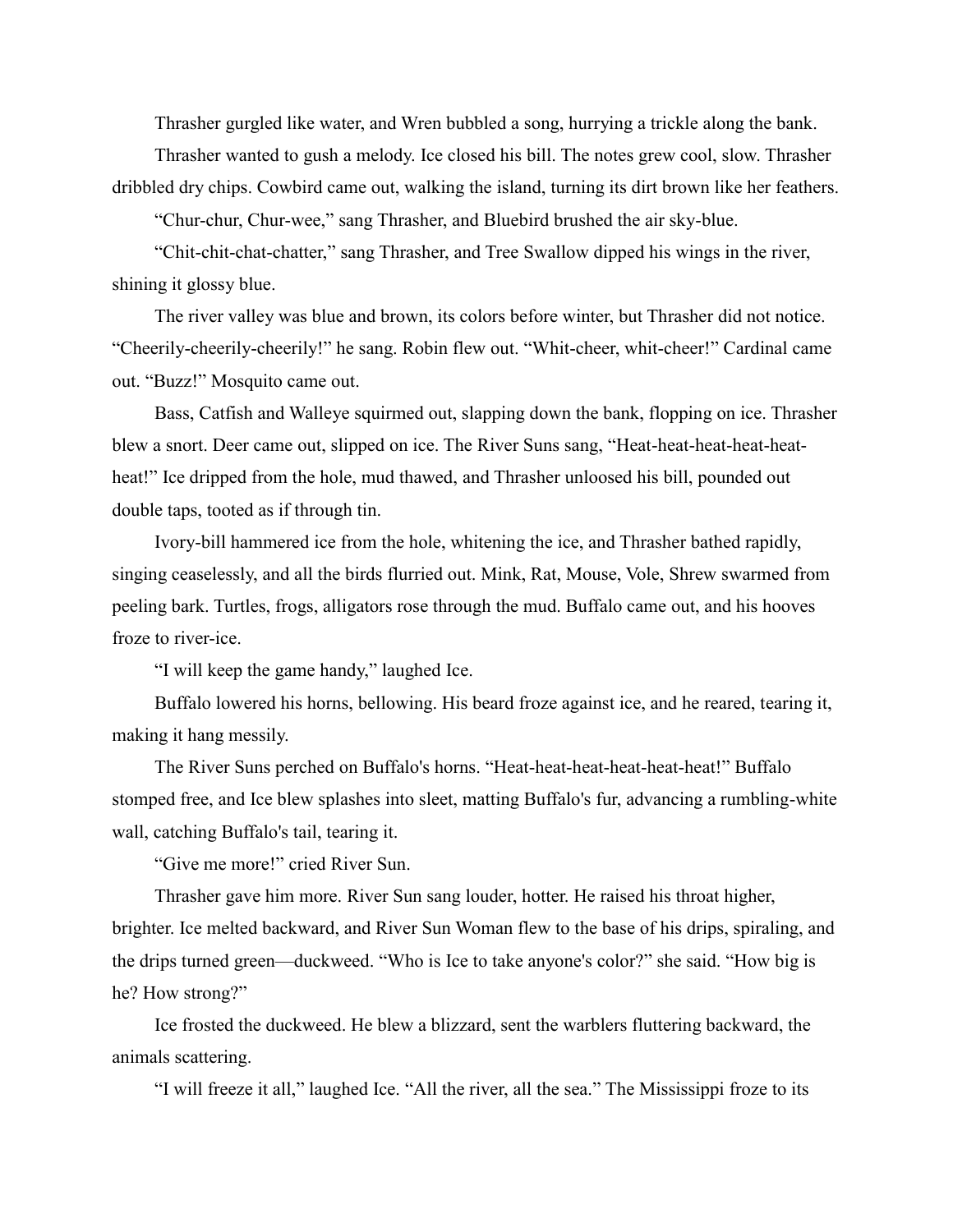Thrasher gurgled like water, and Wren bubbled a song, hurrying a trickle along the bank.

Thrasher wanted to gush a melody. Ice closed his bill. The notes grew cool, slow. Thrasher dribbled dry chips. Cowbird came out, walking the island, turning its dirt brown like her feathers.

"Chur-chur, Chur-wee," sang Thrasher, and Bluebird brushed the air sky-blue.

"Chit-chit-chat-chatter," sang Thrasher, and Tree Swallow dipped his wings in the river, shining it glossy blue.

The river valley was blue and brown, its colors before winter, but Thrasher did not notice. "Cheerily-cheerily-cheerily!" he sang. Robin flew out. "Whit-cheer, whit-cheer!" Cardinal came out. "Buzz!" Mosquito came out.

Bass, Catfish and Walleye squirmed out, slapping down the bank, flopping on ice. Thrasher blew a snort. Deer came out, slipped on ice. The River Suns sang, "Heat-heat-heat-heat-heatheat!" Ice dripped from the hole, mud thawed, and Thrasher unloosed his bill, pounded out double taps, tooted as if through tin.

Ivory-bill hammered ice from the hole, whitening the ice, and Thrasher bathed rapidly, singing ceaselessly, and all the birds flurried out. Mink, Rat, Mouse, Vole, Shrew swarmed from peeling bark. Turtles, frogs, alligators rose through the mud. Buffalo came out, and his hooves froze to river-ice.

"I will keep the game handy," laughed Ice.

Buffalo lowered his horns, bellowing. His beard froze against ice, and he reared, tearing it, making it hang messily.

The River Suns perched on Buffalo's horns. "Heat-heat-heat-heat-heat-heat!" Buffalo stomped free, and Ice blew splashes into sleet, matting Buffalo's fur, advancing a rumbling-white wall, catching Buffalo's tail, tearing it.

"Give me more!" cried River Sun.

Thrasher gave him more. River Sun sang louder, hotter. He raised his throat higher, brighter. Ice melted backward, and River Sun Woman flew to the base of his drips, spiraling, and the drips turned green—duckweed. "Who is Ice to take anyone's color?" she said. "How big is he? How strong?"

Ice frosted the duckweed. He blew a blizzard, sent the warblers fluttering backward, the animals scattering.

"I will freeze it all," laughed Ice. "All the river, all the sea." The Mississippi froze to its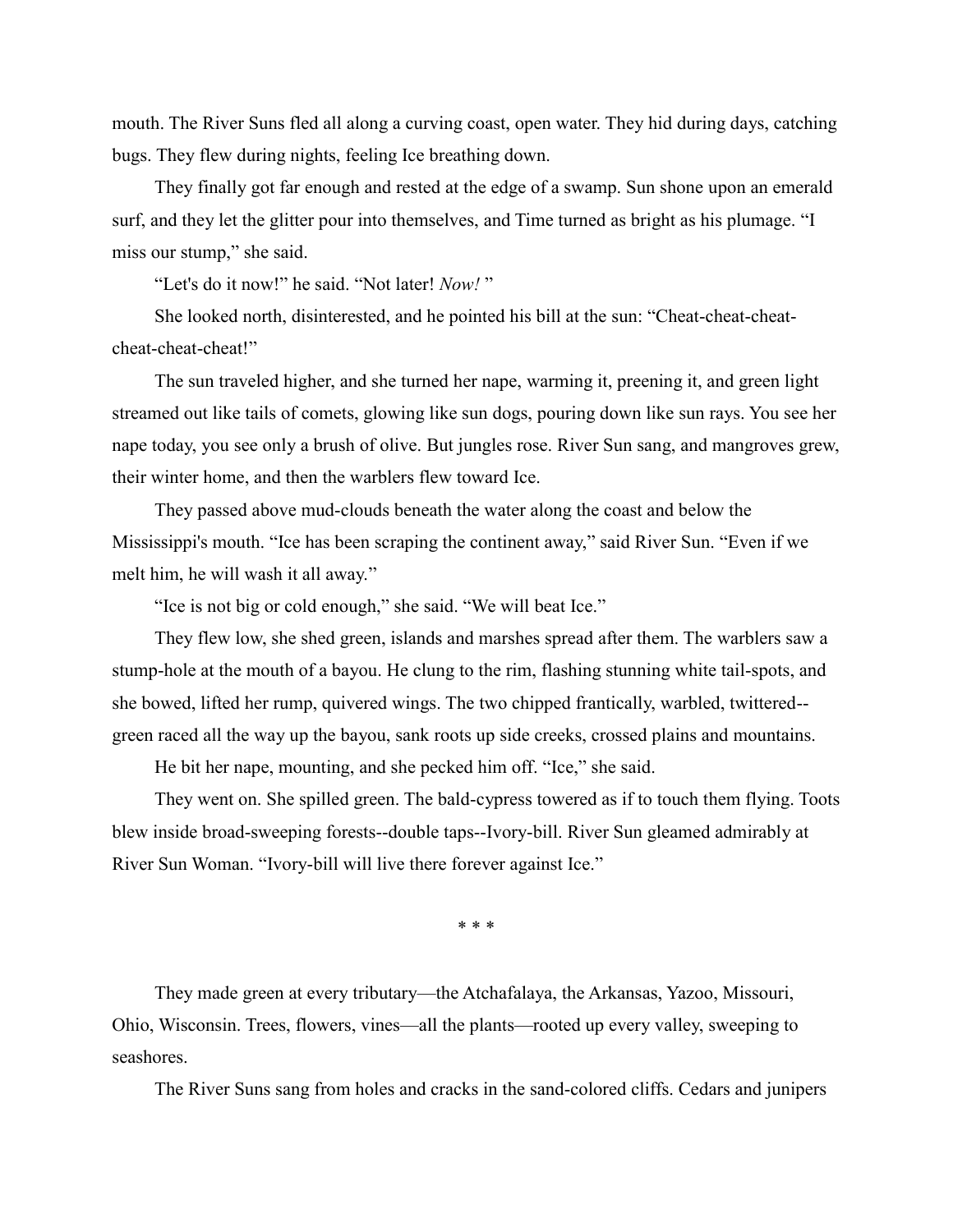mouth. The River Suns fled all along a curving coast, open water. They hid during days, catching bugs. They flew during nights, feeling Ice breathing down.

They finally got far enough and rested at the edge of a swamp. Sun shone upon an emerald surf, and they let the glitter pour into themselves, and Time turned as bright as his plumage. "I miss our stump," she said.

"Let's do it now!" he said. "Not later! *Now!* "

She looked north, disinterested, and he pointed his bill at the sun: "Cheat-cheat-cheatcheat-cheat-cheat!"

The sun traveled higher, and she turned her nape, warming it, preening it, and green light streamed out like tails of comets, glowing like sun dogs, pouring down like sun rays. You see her nape today, you see only a brush of olive. But jungles rose. River Sun sang, and mangroves grew, their winter home, and then the warblers flew toward Ice.

They passed above mud-clouds beneath the water along the coast and below the Mississippi's mouth. "Ice has been scraping the continent away," said River Sun. "Even if we melt him, he will wash it all away."

"Ice is not big or cold enough," she said. "We will beat Ice."

They flew low, she shed green, islands and marshes spread after them. The warblers saw a stump-hole at the mouth of a bayou. He clung to the rim, flashing stunning white tail-spots, and she bowed, lifted her rump, quivered wings. The two chipped frantically, warbled, twittered- green raced all the way up the bayou, sank roots up side creeks, crossed plains and mountains.

He bit her nape, mounting, and she pecked him off. "Ice," she said.

They went on. She spilled green. The bald-cypress towered as if to touch them flying. Toots blew inside broad-sweeping forests--double taps--Ivory-bill. River Sun gleamed admirably at River Sun Woman. "Ivory-bill will live there forever against Ice."

\* \* \*

They made green at every tributary—the Atchafalaya, the Arkansas, Yazoo, Missouri, Ohio, Wisconsin. Trees, flowers, vines—all the plants—rooted up every valley, sweeping to seashores.

The River Suns sang from holes and cracks in the sand-colored cliffs. Cedars and junipers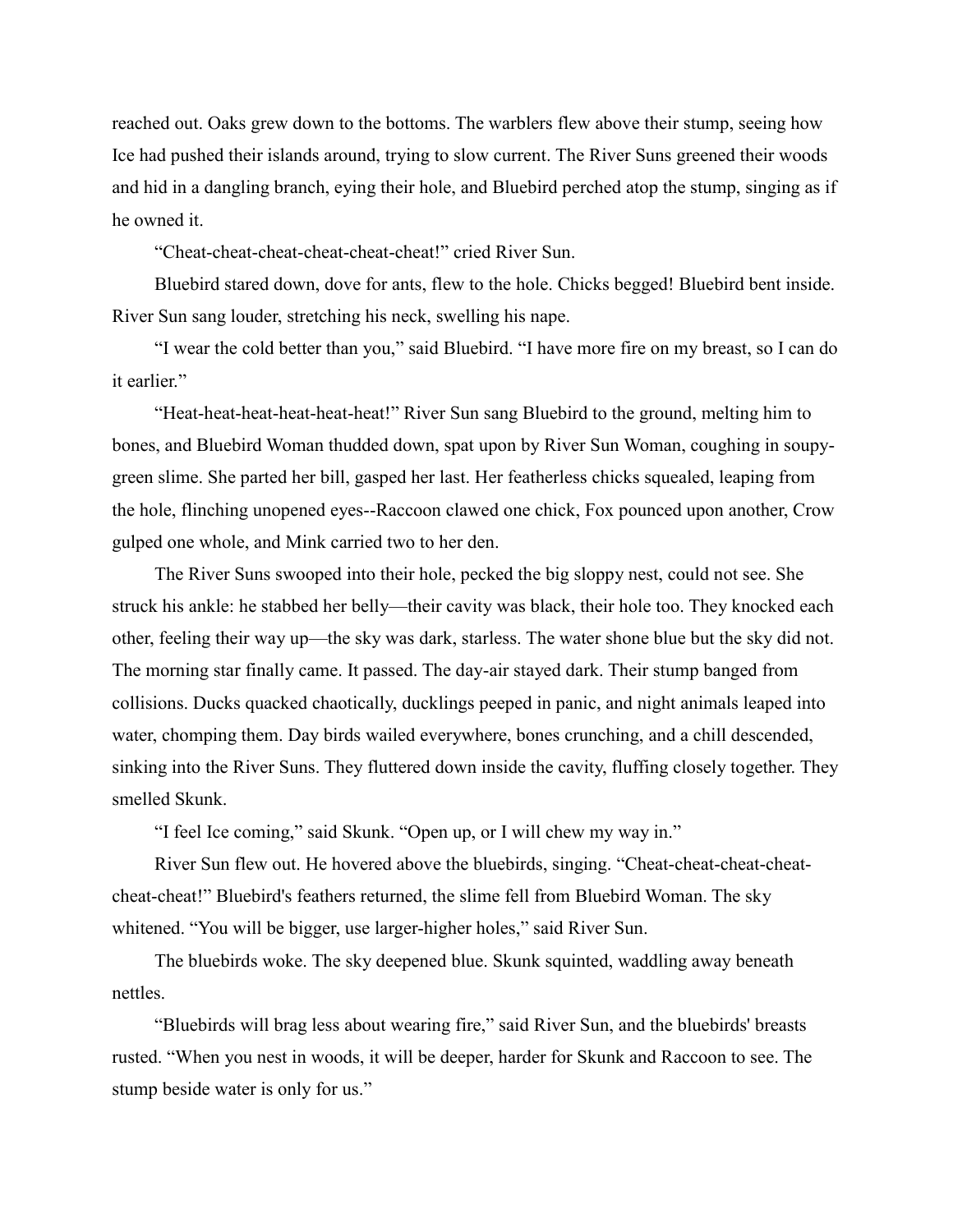reached out. Oaks grew down to the bottoms. The warblers flew above their stump, seeing how Ice had pushed their islands around, trying to slow current. The River Suns greened their woods and hid in a dangling branch, eying their hole, and Bluebird perched atop the stump, singing as if he owned it.

"Cheat-cheat-cheat-cheat-cheat-cheat!" cried River Sun.

Bluebird stared down, dove for ants, flew to the hole. Chicks begged! Bluebird bent inside. River Sun sang louder, stretching his neck, swelling his nape.

"I wear the cold better than you," said Bluebird. "I have more fire on my breast, so I can do it earlier."

"Heat-heat-heat-heat-heat-heat!" River Sun sang Bluebird to the ground, melting him to bones, and Bluebird Woman thudded down, spat upon by River Sun Woman, coughing in soupygreen slime. She parted her bill, gasped her last. Her featherless chicks squealed, leaping from the hole, flinching unopened eyes--Raccoon clawed one chick, Fox pounced upon another, Crow gulped one whole, and Mink carried two to her den.

The River Suns swooped into their hole, pecked the big sloppy nest, could not see. She struck his ankle: he stabbed her belly—their cavity was black, their hole too. They knocked each other, feeling their way up—the sky was dark, starless. The water shone blue but the sky did not. The morning star finally came. It passed. The day-air stayed dark. Their stump banged from collisions. Ducks quacked chaotically, ducklings peeped in panic, and night animals leaped into water, chomping them. Day birds wailed everywhere, bones crunching, and a chill descended, sinking into the River Suns. They fluttered down inside the cavity, fluffing closely together. They smelled Skunk.

"I feel Ice coming," said Skunk. "Open up, or I will chew my way in."

River Sun flew out. He hovered above the bluebirds, singing. "Cheat-cheat-cheat-cheatcheat-cheat!" Bluebird's feathers returned, the slime fell from Bluebird Woman. The sky whitened. "You will be bigger, use larger-higher holes," said River Sun.

The bluebirds woke. The sky deepened blue. Skunk squinted, waddling away beneath nettles.

"Bluebirds will brag less about wearing fire," said River Sun, and the bluebirds' breasts rusted. "When you nest in woods, it will be deeper, harder for Skunk and Raccoon to see. The stump beside water is only for us."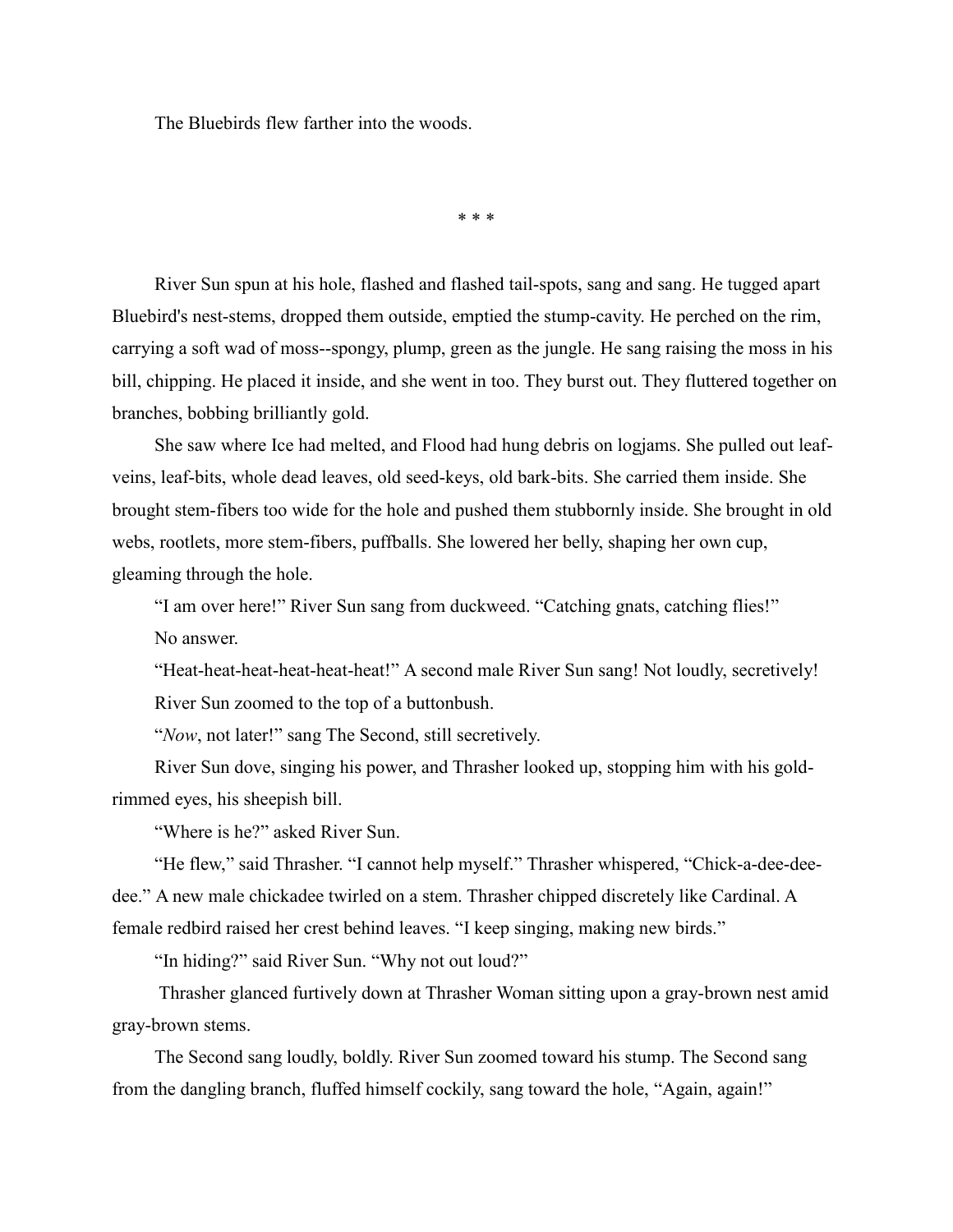The Bluebirds flew farther into the woods.

\* \* \*

River Sun spun at his hole, flashed and flashed tail-spots, sang and sang. He tugged apart Bluebird's nest-stems, dropped them outside, emptied the stump-cavity. He perched on the rim, carrying a soft wad of moss--spongy, plump, green as the jungle. He sang raising the moss in his bill, chipping. He placed it inside, and she went in too. They burst out. They fluttered together on branches, bobbing brilliantly gold.

She saw where Ice had melted, and Flood had hung debris on logjams. She pulled out leafveins, leaf-bits, whole dead leaves, old seed-keys, old bark-bits. She carried them inside. She brought stem-fibers too wide for the hole and pushed them stubbornly inside. She brought in old webs, rootlets, more stem-fibers, puffballs. She lowered her belly, shaping her own cup, gleaming through the hole.

"I am over here!" River Sun sang from duckweed. "Catching gnats, catching flies!" No answer.

"Heat-heat-heat-heat-heat-heat!" A second male River Sun sang! Not loudly, secretively! River Sun zoomed to the top of a buttonbush.

"*Now*, not later!" sang The Second, still secretively.

River Sun dove, singing his power, and Thrasher looked up, stopping him with his goldrimmed eyes, his sheepish bill.

"Where is he?" asked River Sun.

"He flew," said Thrasher. "I cannot help myself." Thrasher whispered, "Chick-a-dee-deedee." A new male chickadee twirled on a stem. Thrasher chipped discretely like Cardinal. A female redbird raised her crest behind leaves. "I keep singing, making new birds."

"In hiding?" said River Sun. "Why not out loud?"

Thrasher glanced furtively down at Thrasher Woman sitting upon a gray-brown nest amid gray-brown stems.

The Second sang loudly, boldly. River Sun zoomed toward his stump. The Second sang from the dangling branch, fluffed himself cockily, sang toward the hole, "Again, again!"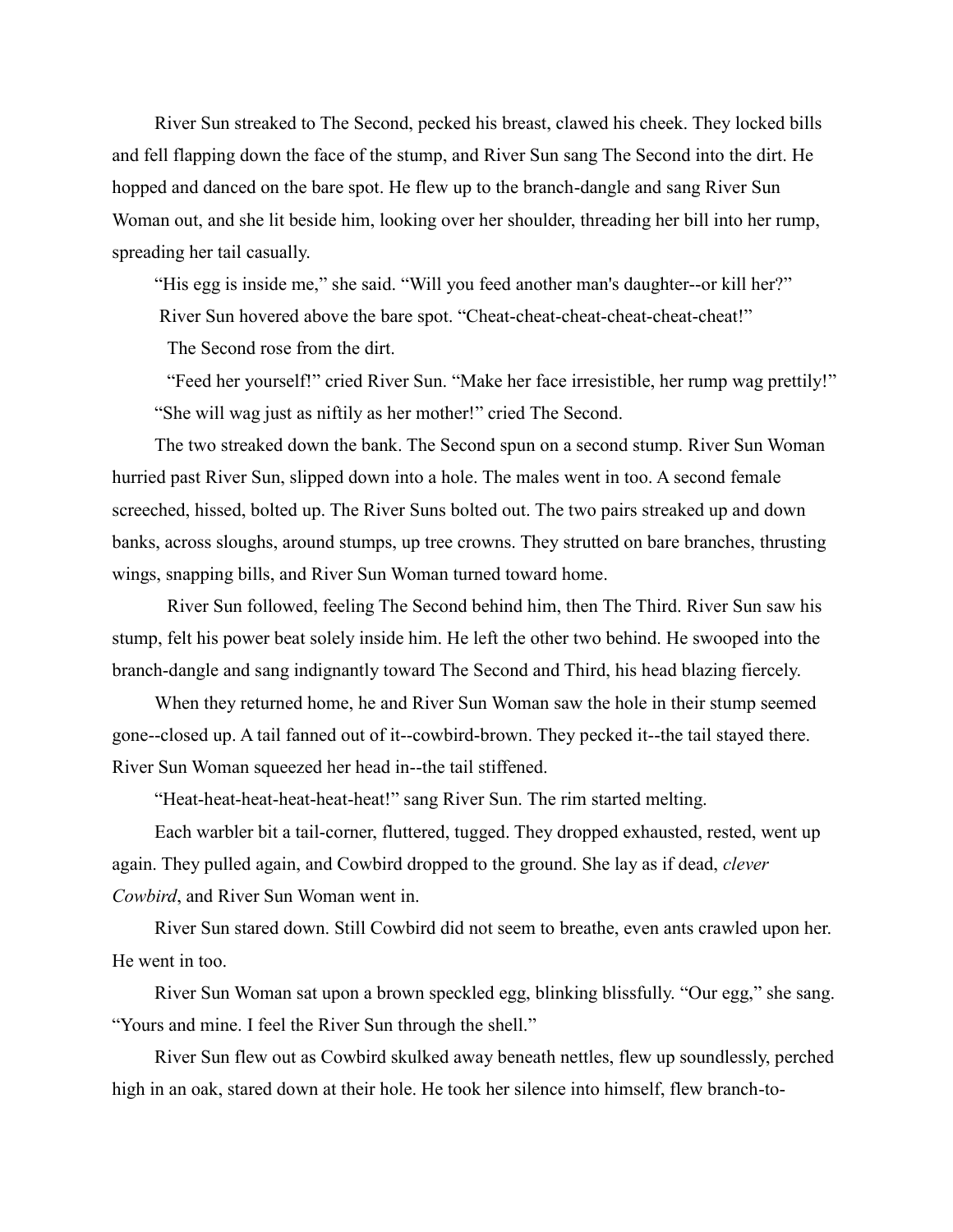River Sun streaked to The Second, pecked his breast, clawed his cheek. They locked bills and fell flapping down the face of the stump, and River Sun sang The Second into the dirt. He hopped and danced on the bare spot. He flew up to the branch-dangle and sang River Sun Woman out, and she lit beside him, looking over her shoulder, threading her bill into her rump, spreading her tail casually.

"His egg is inside me," she said. "Will you feed another man's daughter--or kill her?" River Sun hovered above the bare spot. "Cheat-cheat-cheat-cheat-cheat-cheat!"

The Second rose from the dirt.

"Feed her yourself!" cried River Sun. "Make her face irresistible, her rump wag prettily!" "She will wag just as niftily as her mother!" cried The Second.

The two streaked down the bank. The Second spun on a second stump. River Sun Woman hurried past River Sun, slipped down into a hole. The males went in too. A second female screeched, hissed, bolted up. The River Suns bolted out. The two pairs streaked up and down banks, across sloughs, around stumps, up tree crowns. They strutted on bare branches, thrusting wings, snapping bills, and River Sun Woman turned toward home.

River Sun followed, feeling The Second behind him, then The Third. River Sun saw his stump, felt his power beat solely inside him. He left the other two behind. He swooped into the branch-dangle and sang indignantly toward The Second and Third, his head blazing fiercely.

When they returned home, he and River Sun Woman saw the hole in their stump seemed gone--closed up. A tail fanned out of it--cowbird-brown. They pecked it--the tail stayed there. River Sun Woman squeezed her head in--the tail stiffened.

"Heat-heat-heat-heat-heat-heat!" sang River Sun. The rim started melting.

Each warbler bit a tail-corner, fluttered, tugged. They dropped exhausted, rested, went up again. They pulled again, and Cowbird dropped to the ground. She lay as if dead, *clever Cowbird*, and River Sun Woman went in.

River Sun stared down. Still Cowbird did not seem to breathe, even ants crawled upon her. He went in too.

River Sun Woman sat upon a brown speckled egg, blinking blissfully. "Our egg," she sang. "Yours and mine. I feel the River Sun through the shell."

River Sun flew out as Cowbird skulked away beneath nettles, flew up soundlessly, perched high in an oak, stared down at their hole. He took her silence into himself, flew branch-to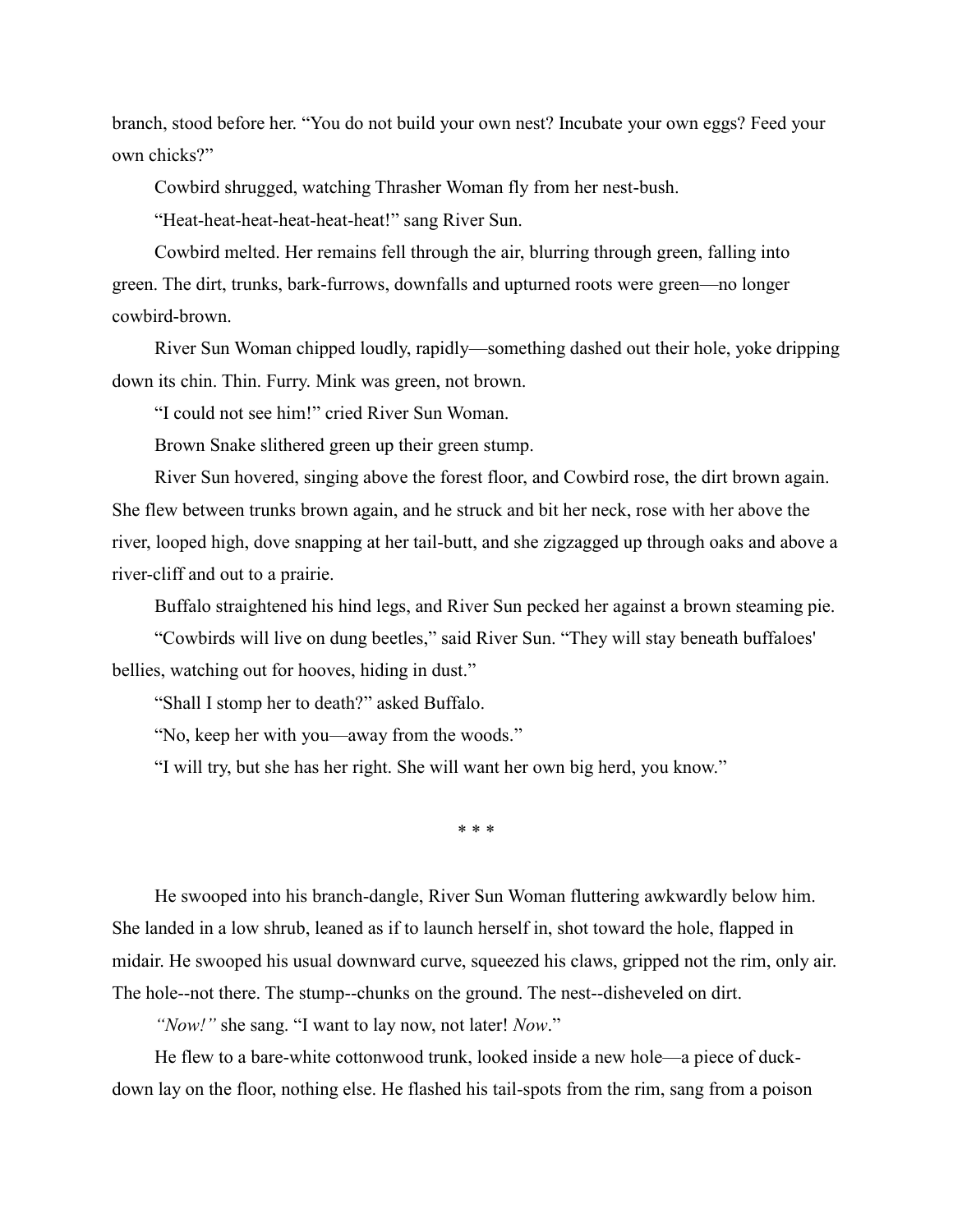branch, stood before her. "You do not build your own nest? Incubate your own eggs? Feed your own chicks?"

Cowbird shrugged, watching Thrasher Woman fly from her nest-bush.

"Heat-heat-heat-heat-heat-heat!" sang River Sun.

Cowbird melted. Her remains fell through the air, blurring through green, falling into green. The dirt, trunks, bark-furrows, downfalls and upturned roots were green—no longer cowbird-brown.

River Sun Woman chipped loudly, rapidly—something dashed out their hole, yoke dripping down its chin. Thin. Furry. Mink was green, not brown.

"I could not see him!" cried River Sun Woman.

Brown Snake slithered green up their green stump.

River Sun hovered, singing above the forest floor, and Cowbird rose, the dirt brown again. She flew between trunks brown again, and he struck and bit her neck, rose with her above the river, looped high, dove snapping at her tail-butt, and she zigzagged up through oaks and above a river-cliff and out to a prairie.

Buffalo straightened his hind legs, and River Sun pecked her against a brown steaming pie.

"Cowbirds will live on dung beetles," said River Sun. "They will stay beneath buffaloes' bellies, watching out for hooves, hiding in dust."

"Shall I stomp her to death?" asked Buffalo.

"No, keep her with you—away from the woods."

"I will try, but she has her right. She will want her own big herd, you know."

\* \* \*

He swooped into his branch-dangle, River Sun Woman fluttering awkwardly below him. She landed in a low shrub, leaned as if to launch herself in, shot toward the hole, flapped in midair. He swooped his usual downward curve, squeezed his claws, gripped not the rim, only air. The hole--not there. The stump--chunks on the ground. The nest--disheveled on dirt.

*"Now!"* she sang. "I want to lay now, not later! *Now*."

He flew to a bare-white cottonwood trunk, looked inside a new hole—a piece of duckdown lay on the floor, nothing else. He flashed his tail-spots from the rim, sang from a poison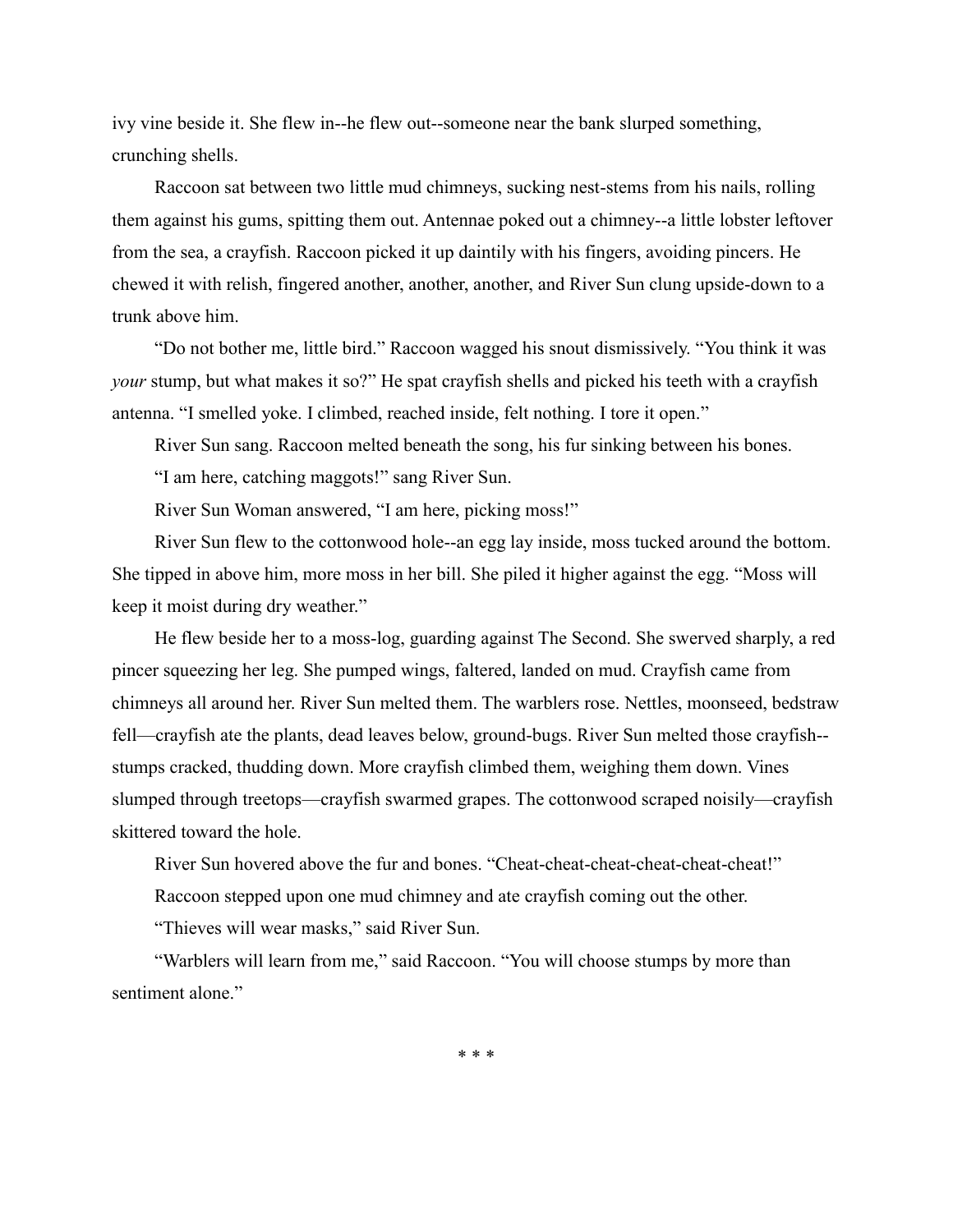ivy vine beside it. She flew in--he flew out--someone near the bank slurped something, crunching shells.

Raccoon sat between two little mud chimneys, sucking nest-stems from his nails, rolling them against his gums, spitting them out. Antennae poked out a chimney--a little lobster leftover from the sea, a crayfish. Raccoon picked it up daintily with his fingers, avoiding pincers. He chewed it with relish, fingered another, another, another, and River Sun clung upside-down to a trunk above him.

"Do not bother me, little bird." Raccoon wagged his snout dismissively. "You think it was *your* stump, but what makes it so?" He spat crayfish shells and picked his teeth with a crayfish antenna. "I smelled yoke. I climbed, reached inside, felt nothing. I tore it open."

River Sun sang. Raccoon melted beneath the song, his fur sinking between his bones.

"I am here, catching maggots!" sang River Sun.

River Sun Woman answered, "I am here, picking moss!"

River Sun flew to the cottonwood hole--an egg lay inside, moss tucked around the bottom. She tipped in above him, more moss in her bill. She piled it higher against the egg. "Moss will keep it moist during dry weather."

He flew beside her to a moss-log, guarding against The Second. She swerved sharply, a red pincer squeezing her leg. She pumped wings, faltered, landed on mud. Crayfish came from chimneys all around her. River Sun melted them. The warblers rose. Nettles, moonseed, bedstraw fell—crayfish ate the plants, dead leaves below, ground-bugs. River Sun melted those crayfish- stumps cracked, thudding down. More crayfish climbed them, weighing them down. Vines slumped through treetops—crayfish swarmed grapes. The cottonwood scraped noisily—crayfish skittered toward the hole.

River Sun hovered above the fur and bones. "Cheat-cheat-cheat-cheat-cheat-cheat!" Raccoon stepped upon one mud chimney and ate crayfish coming out the other.

"Thieves will wear masks," said River Sun.

"Warblers will learn from me," said Raccoon. "You will choose stumps by more than sentiment alone."

\* \* \*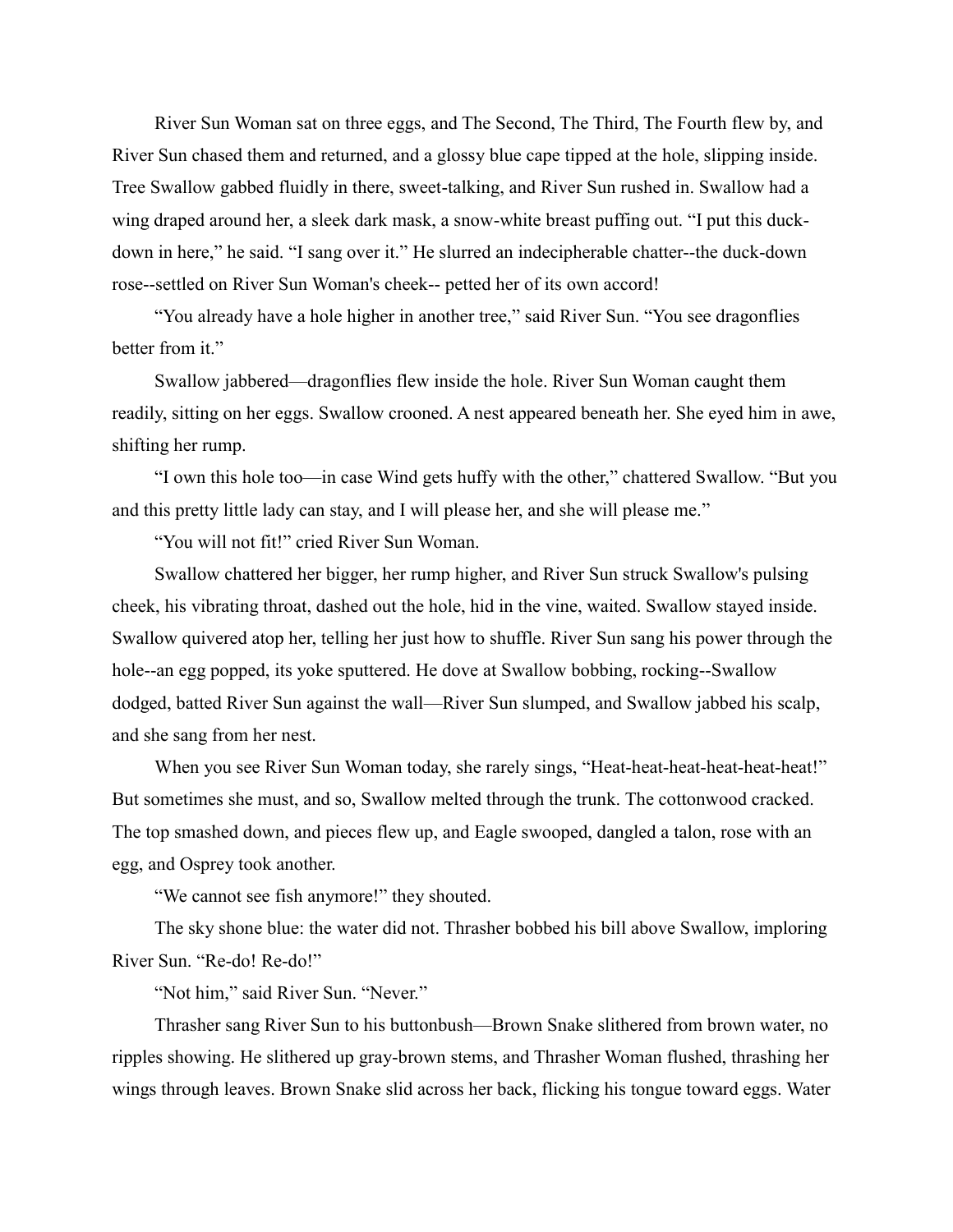River Sun Woman sat on three eggs, and The Second, The Third, The Fourth flew by, and River Sun chased them and returned, and a glossy blue cape tipped at the hole, slipping inside. Tree Swallow gabbed fluidly in there, sweet-talking, and River Sun rushed in. Swallow had a wing draped around her, a sleek dark mask, a snow-white breast puffing out. "I put this duckdown in here," he said. "I sang over it." He slurred an indecipherable chatter--the duck-down rose--settled on River Sun Woman's cheek-- petted her of its own accord!

"You already have a hole higher in another tree," said River Sun. "You see dragonflies better from it."

Swallow jabbered—dragonflies flew inside the hole. River Sun Woman caught them readily, sitting on her eggs. Swallow crooned. A nest appeared beneath her. She eyed him in awe, shifting her rump.

"I own this hole too—in case Wind gets huffy with the other," chattered Swallow. "But you and this pretty little lady can stay, and I will please her, and she will please me."

"You will not fit!" cried River Sun Woman.

Swallow chattered her bigger, her rump higher, and River Sun struck Swallow's pulsing cheek, his vibrating throat, dashed out the hole, hid in the vine, waited. Swallow stayed inside. Swallow quivered atop her, telling her just how to shuffle. River Sun sang his power through the hole--an egg popped, its yoke sputtered. He dove at Swallow bobbing, rocking--Swallow dodged, batted River Sun against the wall—River Sun slumped, and Swallow jabbed his scalp, and she sang from her nest.

When you see River Sun Woman today, she rarely sings, "Heat-heat-heat-heat-heat-heat!" But sometimes she must, and so, Swallow melted through the trunk. The cottonwood cracked. The top smashed down, and pieces flew up, and Eagle swooped, dangled a talon, rose with an egg, and Osprey took another.

"We cannot see fish anymore!" they shouted.

The sky shone blue: the water did not. Thrasher bobbed his bill above Swallow, imploring River Sun. "Re-do! Re-do!"

"Not him," said River Sun. "Never."

Thrasher sang River Sun to his buttonbush—Brown Snake slithered from brown water, no ripples showing. He slithered up gray-brown stems, and Thrasher Woman flushed, thrashing her wings through leaves. Brown Snake slid across her back, flicking his tongue toward eggs. Water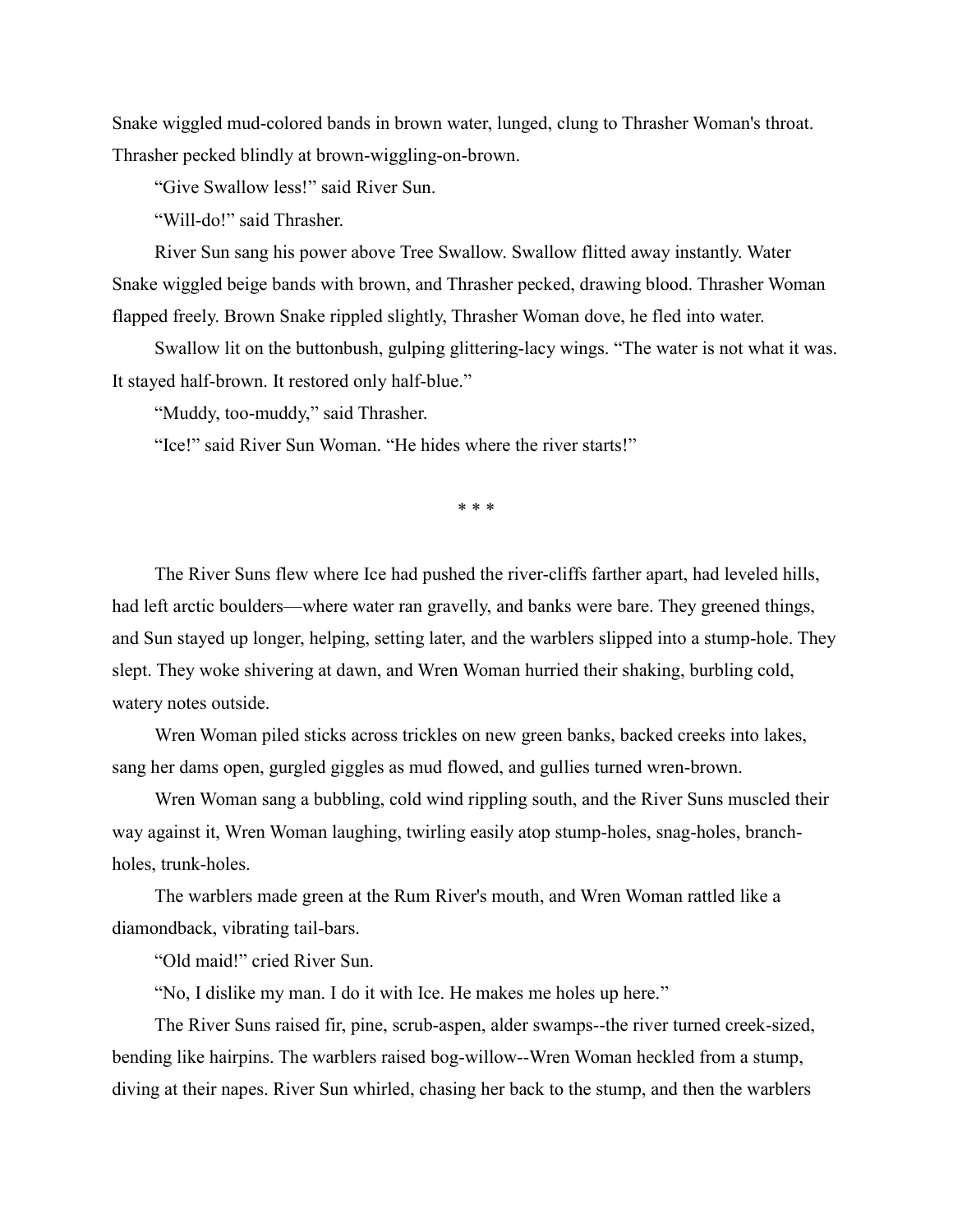Snake wiggled mud-colored bands in brown water, lunged, clung to Thrasher Woman's throat. Thrasher pecked blindly at brown-wiggling-on-brown.

"Give Swallow less!" said River Sun.

"Will-do!" said Thrasher.

River Sun sang his power above Tree Swallow. Swallow flitted away instantly. Water Snake wiggled beige bands with brown, and Thrasher pecked, drawing blood. Thrasher Woman flapped freely. Brown Snake rippled slightly, Thrasher Woman dove, he fled into water.

Swallow lit on the buttonbush, gulping glittering-lacy wings. "The water is not what it was. It stayed half-brown. It restored only half-blue."

"Muddy, too-muddy," said Thrasher.

"Ice!" said River Sun Woman. "He hides where the river starts!"

\* \* \*

The River Suns flew where Ice had pushed the river-cliffs farther apart, had leveled hills, had left arctic boulders—where water ran gravelly, and banks were bare. They greened things, and Sun stayed up longer, helping, setting later, and the warblers slipped into a stump-hole. They slept. They woke shivering at dawn, and Wren Woman hurried their shaking, burbling cold, watery notes outside.

Wren Woman piled sticks across trickles on new green banks, backed creeks into lakes, sang her dams open, gurgled giggles as mud flowed, and gullies turned wren-brown.

Wren Woman sang a bubbling, cold wind rippling south, and the River Suns muscled their way against it, Wren Woman laughing, twirling easily atop stump-holes, snag-holes, branchholes, trunk-holes.

The warblers made green at the Rum River's mouth, and Wren Woman rattled like a diamondback, vibrating tail-bars.

"Old maid!" cried River Sun.

"No, I dislike my man. I do it with Ice. He makes me holes up here."

The River Suns raised fir, pine, scrub-aspen, alder swamps--the river turned creek-sized, bending like hairpins. The warblers raised bog-willow--Wren Woman heckled from a stump, diving at their napes. River Sun whirled, chasing her back to the stump, and then the warblers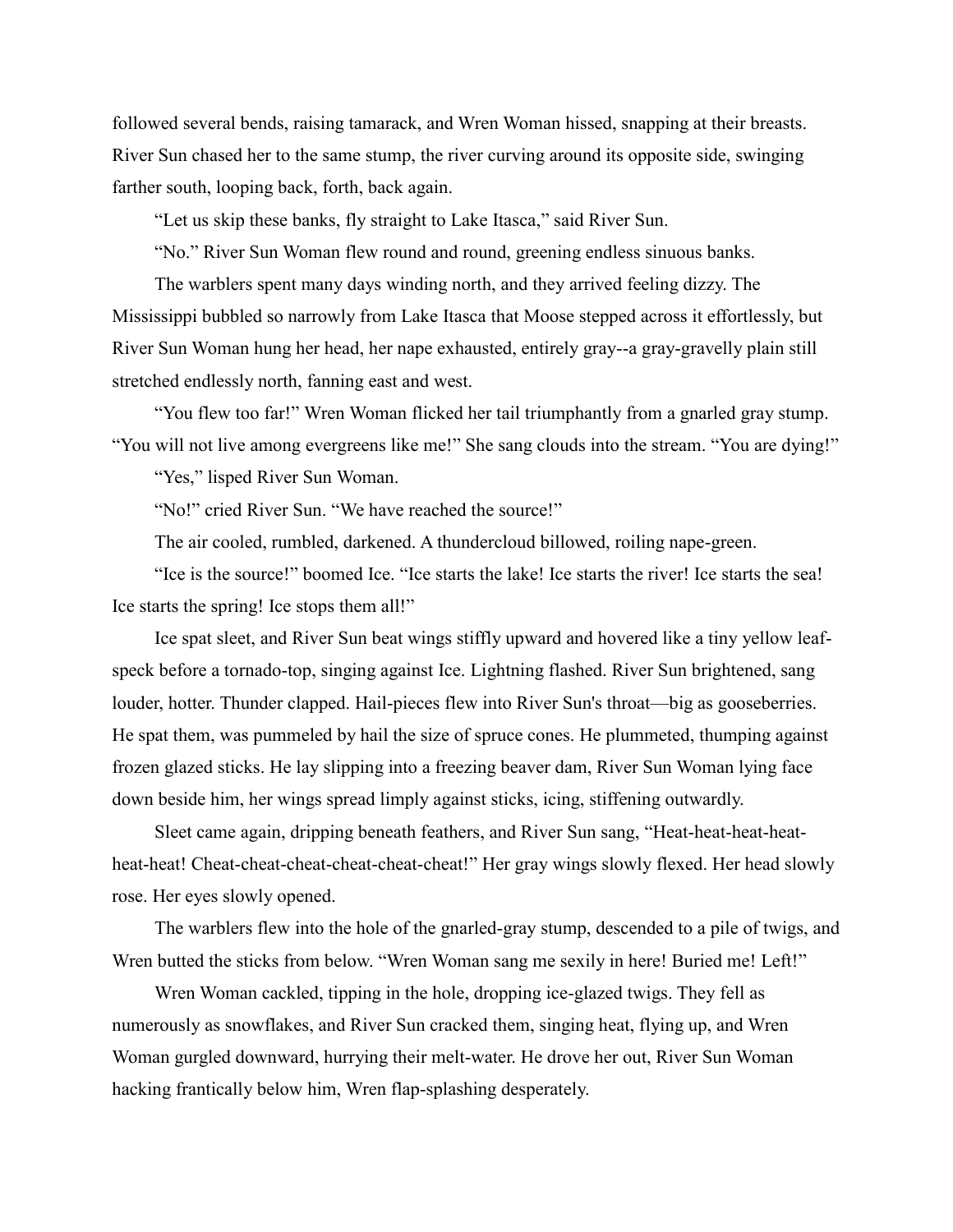followed several bends, raising tamarack, and Wren Woman hissed, snapping at their breasts. River Sun chased her to the same stump, the river curving around its opposite side, swinging farther south, looping back, forth, back again.

"Let us skip these banks, fly straight to Lake Itasca," said River Sun.

"No." River Sun Woman flew round and round, greening endless sinuous banks.

The warblers spent many days winding north, and they arrived feeling dizzy. The Mississippi bubbled so narrowly from Lake Itasca that Moose stepped across it effortlessly, but River Sun Woman hung her head, her nape exhausted, entirely gray--a gray-gravelly plain still stretched endlessly north, fanning east and west.

"You flew too far!" Wren Woman flicked her tail triumphantly from a gnarled gray stump. "You will not live among evergreens like me!" She sang clouds into the stream. "You are dying!"

"Yes," lisped River Sun Woman.

"No!" cried River Sun. "We have reached the source!"

The air cooled, rumbled, darkened. A thundercloud billowed, roiling nape-green.

"Ice is the source!" boomed Ice. "Ice starts the lake! Ice starts the river! Ice starts the sea! Ice starts the spring! Ice stops them all!"

Ice spat sleet, and River Sun beat wings stiffly upward and hovered like a tiny yellow leafspeck before a tornado-top, singing against Ice. Lightning flashed. River Sun brightened, sang louder, hotter. Thunder clapped. Hail-pieces flew into River Sun's throat—big as gooseberries. He spat them, was pummeled by hail the size of spruce cones. He plummeted, thumping against frozen glazed sticks. He lay slipping into a freezing beaver dam, River Sun Woman lying face down beside him, her wings spread limply against sticks, icing, stiffening outwardly.

Sleet came again, dripping beneath feathers, and River Sun sang, "Heat-heat-heat-heatheat-heat! Cheat-cheat-cheat-cheat-cheat-cheat!" Her gray wings slowly flexed. Her head slowly rose. Her eyes slowly opened.

The warblers flew into the hole of the gnarled-gray stump, descended to a pile of twigs, and Wren butted the sticks from below. "Wren Woman sang me sexily in here! Buried me! Left!"

Wren Woman cackled, tipping in the hole, dropping ice-glazed twigs. They fell as numerously as snowflakes, and River Sun cracked them, singing heat, flying up, and Wren Woman gurgled downward, hurrying their melt-water. He drove her out, River Sun Woman hacking frantically below him, Wren flap-splashing desperately.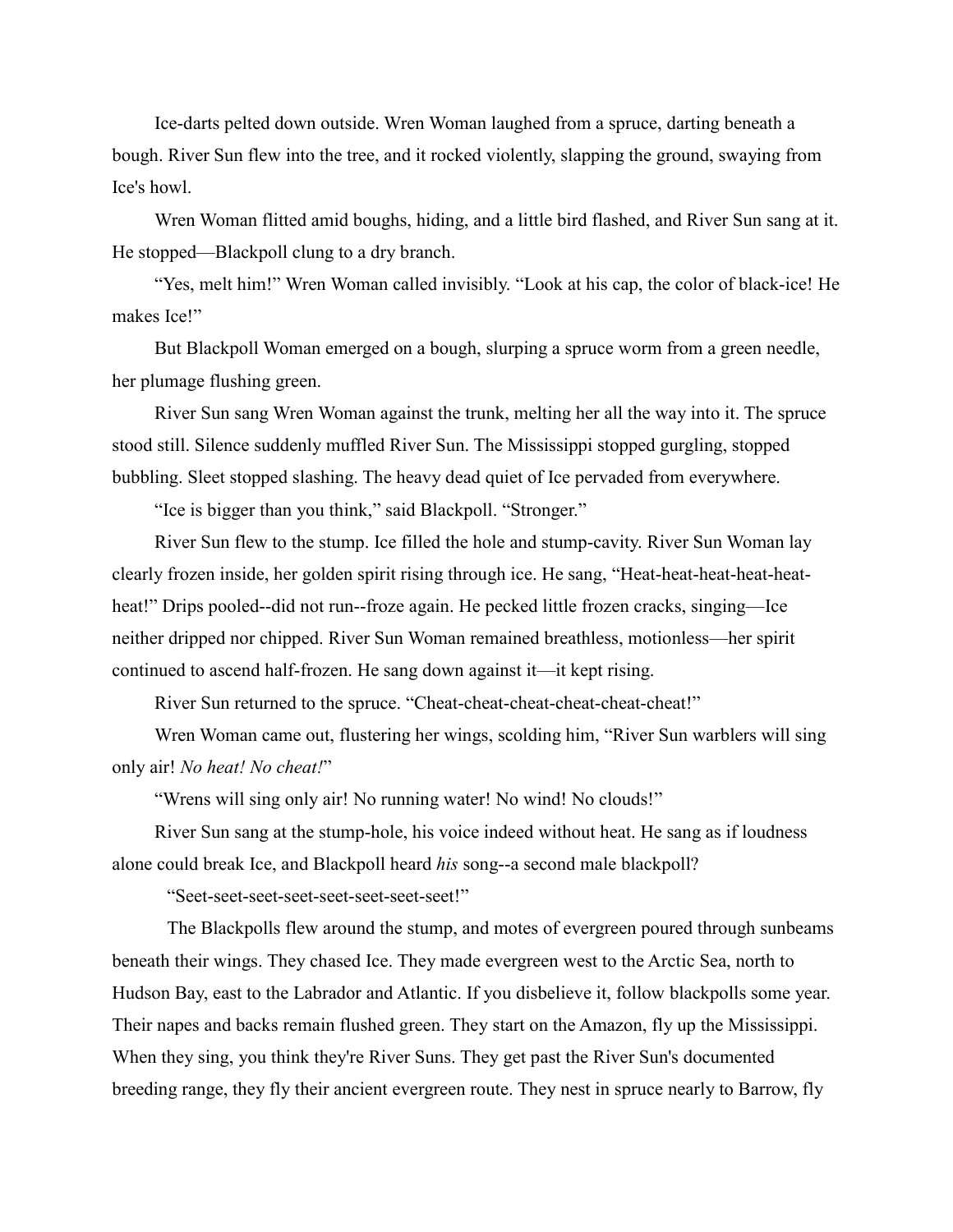Ice-darts pelted down outside. Wren Woman laughed from a spruce, darting beneath a bough. River Sun flew into the tree, and it rocked violently, slapping the ground, swaying from Ice's howl.

Wren Woman flitted amid boughs, hiding, and a little bird flashed, and River Sun sang at it. He stopped—Blackpoll clung to a dry branch.

"Yes, melt him!" Wren Woman called invisibly. "Look at his cap, the color of black-ice! He makes Ice!"

But Blackpoll Woman emerged on a bough, slurping a spruce worm from a green needle, her plumage flushing green.

River Sun sang Wren Woman against the trunk, melting her all the way into it. The spruce stood still. Silence suddenly muffled River Sun. The Mississippi stopped gurgling, stopped bubbling. Sleet stopped slashing. The heavy dead quiet of Ice pervaded from everywhere.

"Ice is bigger than you think," said Blackpoll. "Stronger."

River Sun flew to the stump. Ice filled the hole and stump-cavity. River Sun Woman lay clearly frozen inside, her golden spirit rising through ice. He sang, "Heat-heat-heat-heat-heatheat!" Drips pooled--did not run--froze again. He pecked little frozen cracks, singing—Ice neither dripped nor chipped. River Sun Woman remained breathless, motionless—her spirit continued to ascend half-frozen. He sang down against it—it kept rising.

River Sun returned to the spruce. "Cheat-cheat-cheat-cheat-cheat-cheat!"

Wren Woman came out, flustering her wings, scolding him, "River Sun warblers will sing only air! *No heat! No cheat!*"

"Wrens will sing only air! No running water! No wind! No clouds!"

River Sun sang at the stump-hole, his voice indeed without heat. He sang as if loudness alone could break Ice, and Blackpoll heard *his* song--a second male blackpoll?

"Seet-seet-seet-seet-seet-seet-seet-seet!"

The Blackpolls flew around the stump, and motes of evergreen poured through sunbeams beneath their wings. They chased Ice. They made evergreen west to the Arctic Sea, north to Hudson Bay, east to the Labrador and Atlantic. If you disbelieve it, follow blackpolls some year. Their napes and backs remain flushed green. They start on the Amazon, fly up the Mississippi. When they sing, you think they're River Suns. They get past the River Sun's documented breeding range, they fly their ancient evergreen route. They nest in spruce nearly to Barrow, fly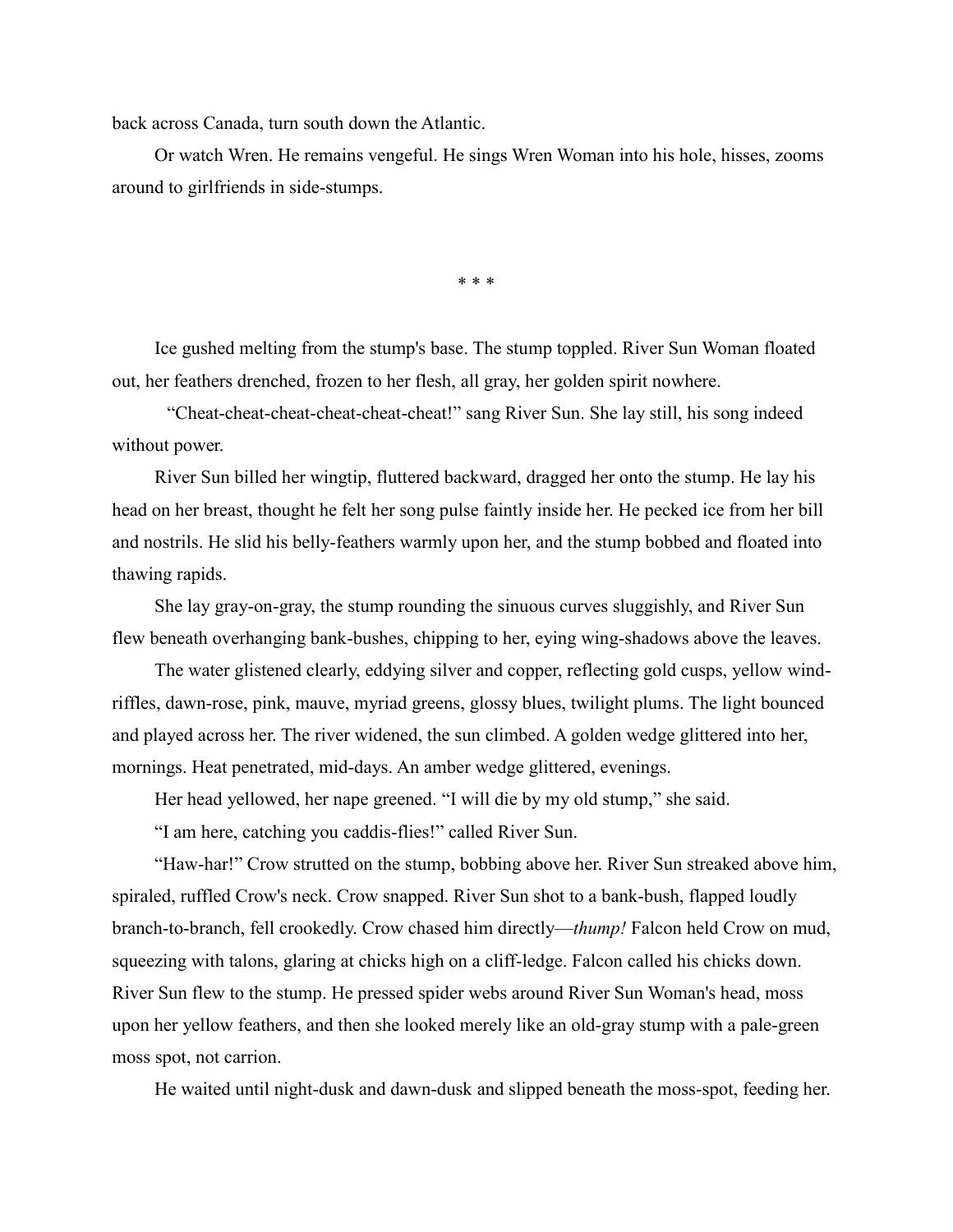back across Canada, turn south down the Atlantic.

Or watch Wren. He remains vengeful. He sings Wren Woman into his hole, hisses, zooms around to girlfriends in side-stumps.

\* \* \*

Ice gushed melting from the stump's base. The stump toppled. River Sun Woman floated out, her feathers drenched, frozen to her flesh, all gray, her golden spirit nowhere.

"Cheat-cheat-cheat-cheat-cheat-cheat!" sang River Sun. She lay still, his song indeed without power.

River Sun billed her wingtip, fluttered backward, dragged her onto the stump. He lay his head on her breast, thought he felt her song pulse faintly inside her. He pecked ice from her bill and nostrils. He slid his belly-feathers warmly upon her, and the stump bobbed and floated into thawing rapids.

She lay gray-on-gray, the stump rounding the sinuous curves sluggishly, and River Sun flew beneath overhanging bank-bushes, chipping to her, eying wing-shadows above the leaves.

The water glistened clearly, eddying silver and copper, reflecting gold cusps, yellow windriffles, dawn-rose, pink, mauve, myriad greens, glossy blues, twilight plums. The light bounced and played across her. The river widened, the sun climbed. A golden wedge glittered into her, mornings. Heat penetrated, mid-days. An amber wedge glittered, evenings.

Her head yellowed, her nape greened. "I will die by my old stump," she said.

"I am here, catching you caddis-flies!" called River Sun.

"Haw-har!" Crow strutted on the stump, bobbing above her. River Sun streaked above him, spiraled, ruffled Crow's neck. Crow snapped. River Sun shot to a bank-bush, flapped loudly branch-to-branch, fell crookedly. Crow chased him directly—*thump!* Falcon held Crow on mud, squeezing with talons, glaring at chicks high on a cliff-ledge. Falcon called his chicks down. River Sun flew to the stump. He pressed spider webs around River Sun Woman's head, moss upon her yellow feathers, and then she looked merely like an old-gray stump with a pale-green moss spot, not carrion.

He waited until night-dusk and dawn-dusk and slipped beneath the moss-spot, feeding her.